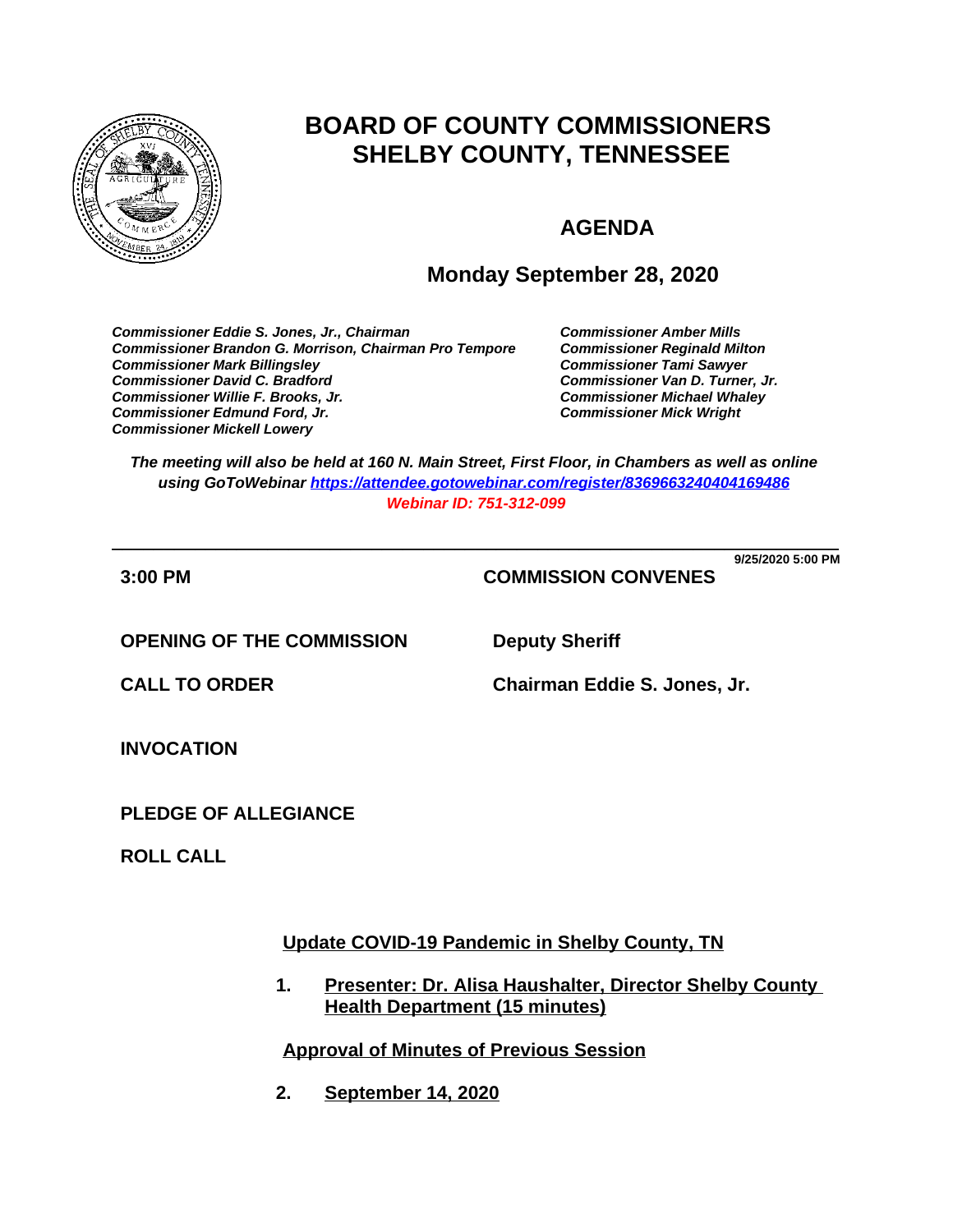

# **BOARD OF COUNTY COMMISSIONERS SHELBY COUNTY, TENNESSEE**

## **AGENDA**

## **Monday September 28, 2020**

*Commissioner Eddie S. Jones, Jr., Chairman Commissioner Amber Mills* **Commissioner Brandon G. Morrison, Chairman Pro Tempore** *Commissioner Mark Billingsley Commissioner Tami Sawyer Commissioner David C. Bradford Commissioner Van D. Turner, Jr. Commissioner Willie F. Brooks, Jr. Commissioner Michael Whaley* **Commissioner Edmund Ford, Jr.** *Commissioner Mickell Lowery*

*The meeting will also be held at 160 N. Main Street, First Floor, in Chambers as well as online using GoToWebinar <https://attendee.gotowebinar.com/register/8369663240404169486> Webinar ID: 751-312-099*

**\_\_\_\_\_\_\_\_\_\_\_\_\_\_\_\_\_\_\_\_\_\_\_\_\_\_\_\_\_\_\_\_\_\_\_\_\_\_\_\_\_\_\_\_\_\_\_\_\_\_\_\_\_\_\_\_\_\_\_\_\_\_\_\_\_\_\_\_\_\_ 9/25/2020 5:00 PM**

**3:00 PM COMMISSION CONVENES**

**OPENING OF THE COMMISSION Deputy Sheriff**

**CALL TO ORDER Chairman Eddie S. Jones, Jr.**

**INVOCATION**

**PLEDGE OF ALLEGIANCE**

**ROLL CALL**

**Update COVID-19 Pandemic in Shelby County, TN**

**1. Presenter: Dr. Alisa Haushalter, Director Shelby County Health Department (15 minutes)**

**Approval of Minutes of Previous Session**

**2. September 14, 2020**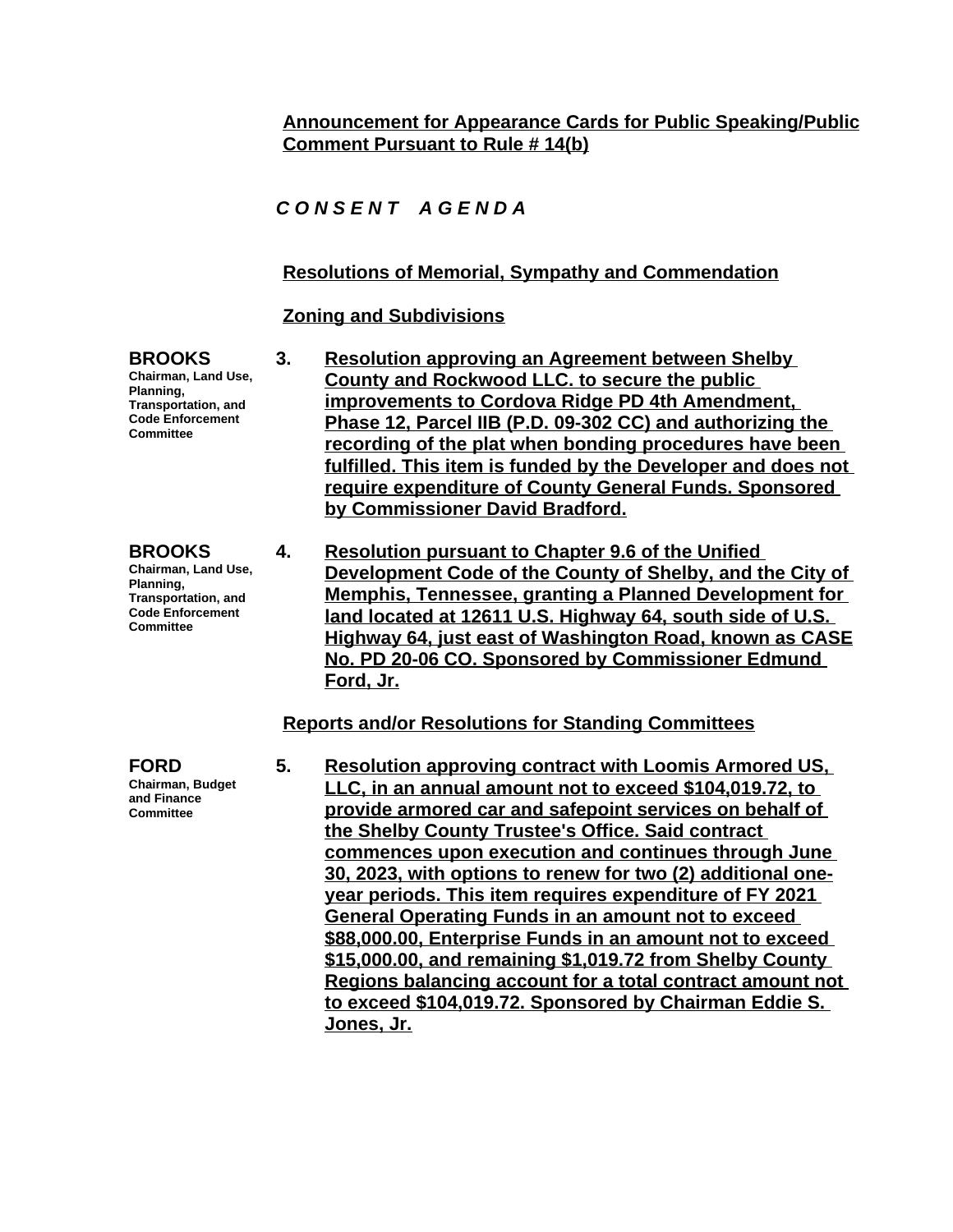## **Announcement for Appearance Cards for Public Speaking/Public Comment Pursuant to Rule # 14(b)**

## *C O N S E N T A G E N D A*

## **Resolutions of Memorial, Sympathy and Commendation**

### **Zoning and Subdivisions**

**BROOKS Chairman, Land Use, Planning, Transportation, and Code Enforcement Committee**

- **3. Resolution approving an Agreement between Shelby County and Rockwood LLC. to secure the public improvements to Cordova Ridge PD 4th Amendment, Phase 12, Parcel IIB (P.D. 09-302 CC) and authorizing the recording of the plat when bonding procedures have been fulfilled. This item is funded by the Developer and does not require expenditure of County General Funds. Sponsored by Commissioner David Bradford.**
- **Code Enforcement Committee 4. Resolution pursuant to Chapter 9.6 of the Unified Development Code of the County of Shelby, and the City of Memphis, Tennessee, granting a Planned Development for land located at 12611 U.S. Highway 64, south side of U.S. Highway 64, just east of Washington Road, known as CASE No. PD 20-06 CO. Sponsored by Commissioner Edmund Ford, Jr.**

**Reports and/or Resolutions for Standing Committees**

**FORD Chairman, Budget and Finance Committee**

**5. Resolution approving contract with Loomis Armored US, LLC, in an annual amount not to exceed \$104,019.72, to provide armored car and safepoint services on behalf of the Shelby County Trustee's Office. Said contract commences upon execution and continues through June 30, 2023, with options to renew for two (2) additional oneyear periods. This item requires expenditure of FY 2021 General Operating Funds in an amount not to exceed \$88,000.00, Enterprise Funds in an amount not to exceed \$15,000.00, and remaining \$1,019.72 from Shelby County Regions balancing account for a total contract amount not to exceed \$104,019.72. Sponsored by Chairman Eddie S. Jones, Jr.**

**BROOKS Chairman, Land Use, Planning, Transportation, and**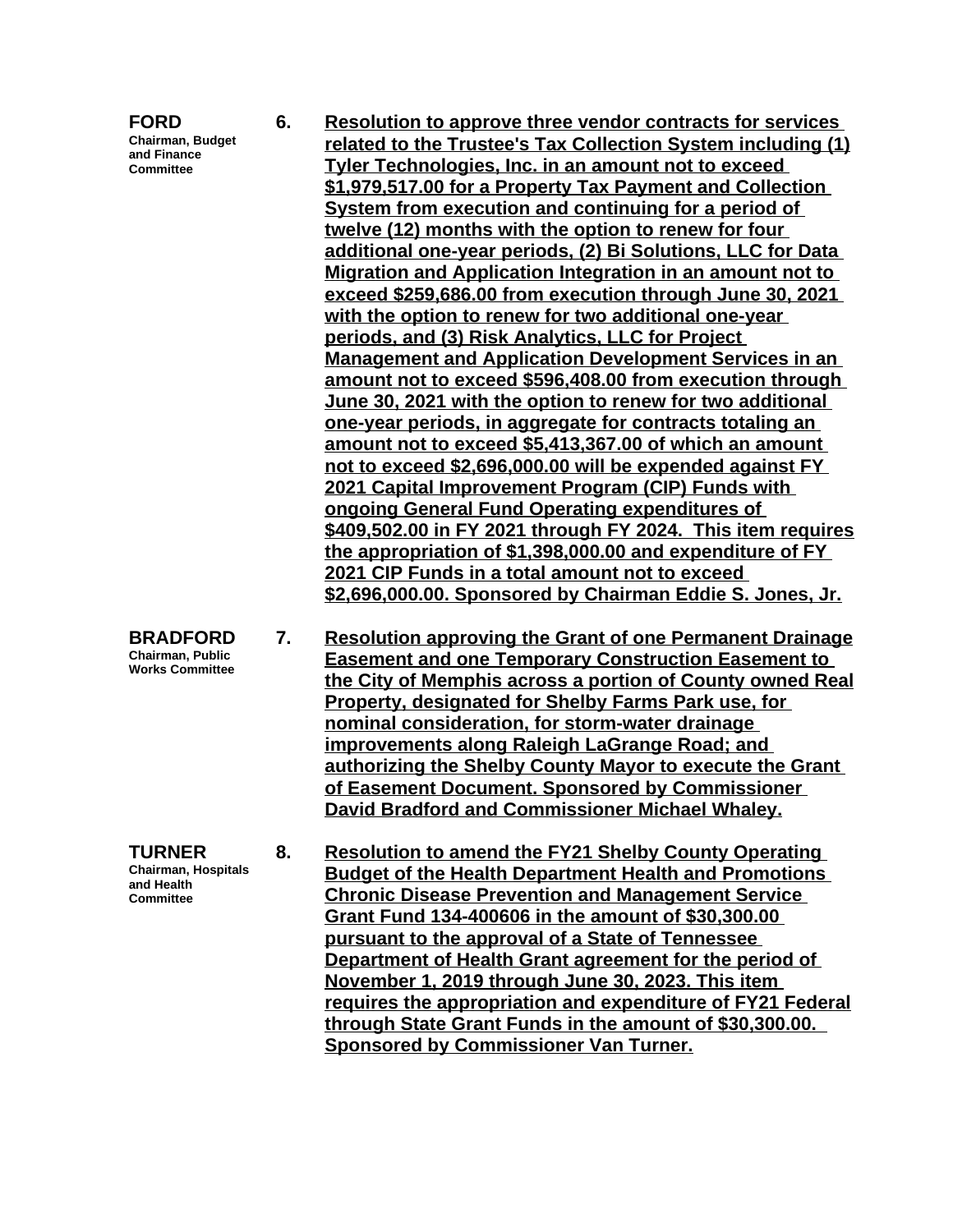**Chairman, Budget and Finance Committee**

**TURNER**

**and Health Committee** **6. Resolution to approve three vendor contracts for services related to the Trustee's Tax Collection System including (1) Tyler Technologies, Inc. in an amount not to exceed \$1,979,517.00 for a Property Tax Payment and Collection System from execution and continuing for a period of twelve (12) months with the option to renew for four additional one-year periods, (2) Bi Solutions, LLC for Data Migration and Application Integration in an amount not to exceed \$259,686.00 from execution through June 30, 2021 with the option to renew for two additional one-year periods, and (3) Risk Analytics, LLC for Project Management and Application Development Services in an amount not to exceed \$596,408.00 from execution through June 30, 2021 with the option to renew for two additional one-year periods, in aggregate for contracts totaling an amount not to exceed \$5,413,367.00 of which an amount not to exceed \$2,696,000.00 will be expended against FY 2021 Capital Improvement Program (CIP) Funds with ongoing General Fund Operating expenditures of \$409,502.00 in FY 2021 through FY 2024. This item requires the appropriation of \$1,398,000.00 and expenditure of FY 2021 CIP Funds in a total amount not to exceed \$2,696,000.00. Sponsored by Chairman Eddie S. Jones, Jr.**

**BRADFORD Chairman, Public Works Committee 7. Resolution approving the Grant of one Permanent Drainage Easement and one Temporary Construction Easement to the City of Memphis across a portion of County owned Real Property, designated for Shelby Farms Park use, for nominal consideration, for storm-water drainage improvements along Raleigh LaGrange Road; and authorizing the Shelby County Mayor to execute the Grant of Easement Document. Sponsored by Commissioner David Bradford and Commissioner Michael Whaley.**

**Chairman, Hospitals 8. Resolution to amend the FY21 Shelby County Operating Budget of the Health Department Health and Promotions Chronic Disease Prevention and Management Service Grant Fund 134-400606 in the amount of \$30,300.00 pursuant to the approval of a State of Tennessee Department of Health Grant agreement for the period of November 1, 2019 through June 30, 2023. This item requires the appropriation and expenditure of FY21 Federal through State Grant Funds in the amount of \$30,300.00. Sponsored by Commissioner Van Turner.**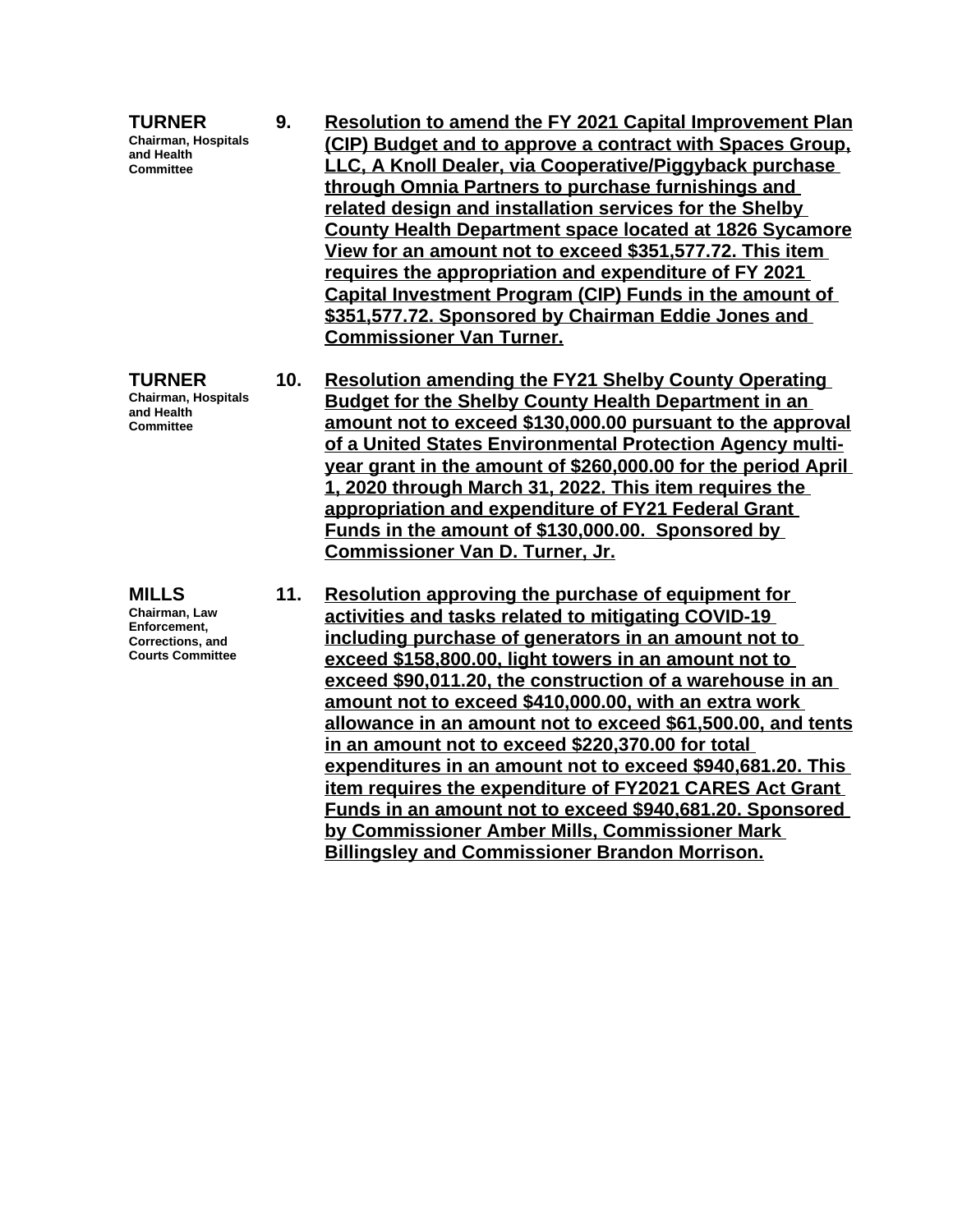**TURNER Chairman, Hospitals and Health Committee 9. Resolution to amend the FY 2021 Capital Improvement Plan (CIP) Budget and to approve a contract with Spaces Group, LLC, A Knoll Dealer, via Cooperative/Piggyback purchase through Omnia Partners to purchase furnishings and related design and installation services for the Shelby County Health Department space located at 1826 Sycamore View for an amount not to exceed \$351,577.72. This item requires the appropriation and expenditure of FY 2021 Capital Investment Program (CIP) Funds in the amount of \$351,577.72. Sponsored by Chairman Eddie Jones and Commissioner Van Turner. TURNER Chairman, Hospitals and Health Committee 10. Resolution amending the FY21 Shelby County Operating Budget for the Shelby County Health Department in an amount not to exceed \$130,000.00 pursuant to the approval of a United States Environmental Protection Agency multiyear grant in the amount of \$260,000.00 for the period April 1, 2020 through March 31, 2022. This item requires the appropriation and expenditure of FY21 Federal Grant Funds in the amount of \$130,000.00. Sponsored by Commissioner Van D. Turner, Jr. MILLS Chairman, Law Enforcement, Corrections, and Courts Committee 11. Resolution approving the purchase of equipment for activities and tasks related to mitigating COVID-19 including purchase of generators in an amount not to exceed \$158,800.00, light towers in an amount not to exceed \$90,011.20, the construction of a warehouse in an amount not to exceed \$410,000.00, with an extra work allowance in an amount not to exceed \$61,500.00, and tents in an amount not to exceed \$220,370.00 for total expenditures in an amount not to exceed \$940,681.20. This item requires the expenditure of FY2021 CARES Act Grant Funds in an amount not to exceed \$940,681.20. Sponsored by Commissioner Amber Mills, Commissioner Mark Billingsley and Commissioner Brandon Morrison.**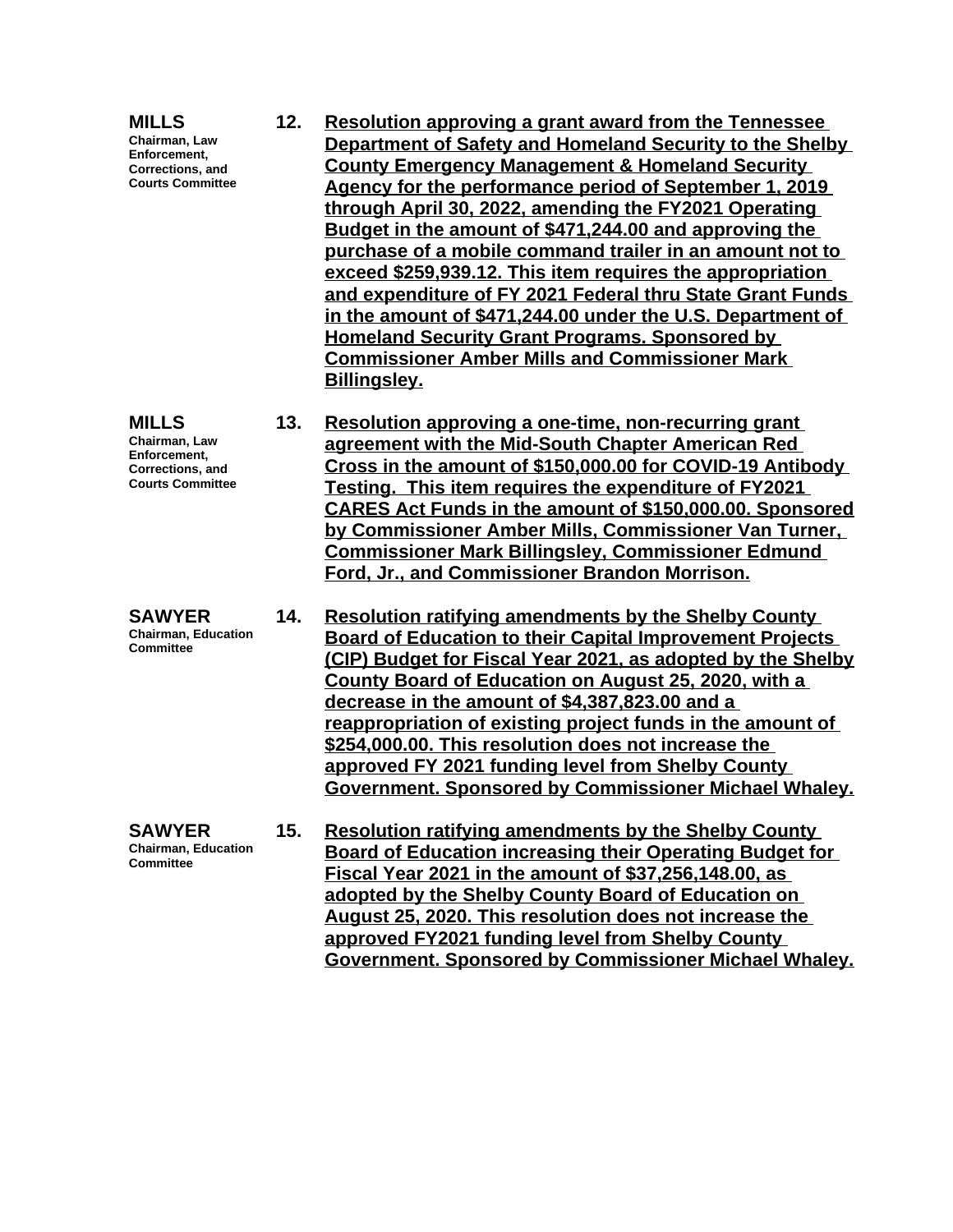| <b>MILLS</b><br>Chairman, Law<br>Enforcement,<br>Corrections, and<br><b>Courts Committee</b>        | 12. | <b>Resolution approving a grant award from the Tennessee</b><br>Department of Safety and Homeland Security to the Shelby<br><b>County Emergency Management &amp; Homeland Security</b><br>Agency for the performance period of September 1, 2019<br>through April 30, 2022, amending the FY2021 Operating<br>Budget in the amount of \$471,244.00 and approving the<br>purchase of a mobile command trailer in an amount not to<br>exceed \$259,939.12. This item requires the appropriation<br>and expenditure of FY 2021 Federal thru State Grant Funds<br>in the amount of \$471,244.00 under the U.S. Department of<br><b>Homeland Security Grant Programs. Sponsored by</b><br><b>Commissioner Amber Mills and Commissioner Mark</b><br><b>Billingsley.</b> |
|-----------------------------------------------------------------------------------------------------|-----|------------------------------------------------------------------------------------------------------------------------------------------------------------------------------------------------------------------------------------------------------------------------------------------------------------------------------------------------------------------------------------------------------------------------------------------------------------------------------------------------------------------------------------------------------------------------------------------------------------------------------------------------------------------------------------------------------------------------------------------------------------------|
| <b>MILLS</b><br>Chairman, Law<br>Enforcement,<br><b>Corrections, and</b><br><b>Courts Committee</b> | 13. | Resolution approving a one-time, non-recurring grant<br>agreement with the Mid-South Chapter American Red<br>Cross in the amount of \$150,000.00 for COVID-19 Antibody<br>Testing. This item requires the expenditure of FY2021<br><b>CARES Act Funds in the amount of \$150,000.00. Sponsored</b><br>by Commissioner Amber Mills, Commissioner Van Turner,<br><b>Commissioner Mark Billingsley, Commissioner Edmund</b><br>Ford, Jr., and Commissioner Brandon Morrison.                                                                                                                                                                                                                                                                                        |
| <b>SAWYER</b><br><b>Chairman, Education</b><br>Committee                                            | 14. | <b>Resolution ratifying amendments by the Shelby County</b><br><b>Board of Education to their Capital Improvement Projects</b><br>(CIP) Budget for Fiscal Year 2021, as adopted by the Shelby<br>County Board of Education on August 25, 2020, with a<br>decrease in the amount of \$4,387,823.00 and a<br>reappropriation of existing project funds in the amount of<br>\$254,000.00. This resolution does not increase the<br>approved FY 2021 funding level from Shelby County<br>Government. Sponsored by Commissioner Michael Whaley.                                                                                                                                                                                                                       |
| <b>SAWYER</b><br><b>Chairman, Education</b><br>Committee                                            | 15. | <b>Resolution ratifying amendments by the Shelby County</b><br><b>Board of Education increasing their Operating Budget for</b><br>Fiscal Year 2021 in the amount of \$37,256,148.00, as<br>adopted by the Shelby County Board of Education on<br>August 25, 2020. This resolution does not increase the<br>approved FY2021 funding level from Shelby County<br>Government. Sponsored by Commissioner Michael Whaley.                                                                                                                                                                                                                                                                                                                                             |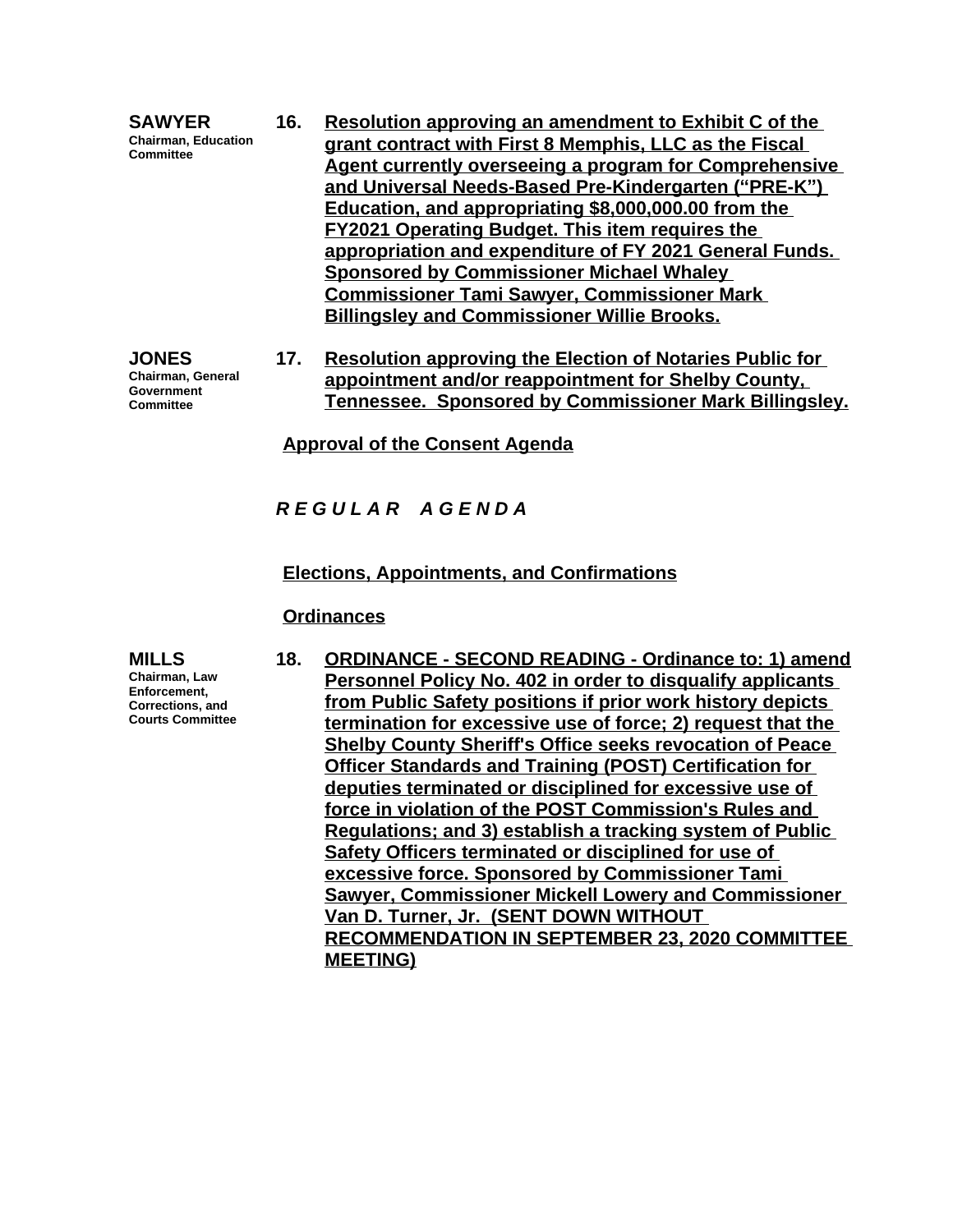|  | <b>SAWYER</b><br><b>Chairman, Education</b><br><b>Committee</b> | 16. | Resolution approving an amendment to Exhibit C of the<br>grant contract with First 8 Memphis, LLC as the Fiscal<br>Agent currently overseeing a program for Comprehensive<br>and Universal Needs-Based Pre-Kindergarten ("PRE-K")<br>Education, and appropriating \$8,000,000.00 from the<br><b>FY2021 Operating Budget. This item requires the</b><br>appropriation and expenditure of FY 2021 General Funds.<br><b>Sponsored by Commissioner Michael Whaley</b><br><b>Commissioner Tami Sawyer, Commissioner Mark</b><br><b>Billingsley and Commissioner Willie Brooks.</b> |
|--|-----------------------------------------------------------------|-----|-------------------------------------------------------------------------------------------------------------------------------------------------------------------------------------------------------------------------------------------------------------------------------------------------------------------------------------------------------------------------------------------------------------------------------------------------------------------------------------------------------------------------------------------------------------------------------|
|--|-----------------------------------------------------------------|-----|-------------------------------------------------------------------------------------------------------------------------------------------------------------------------------------------------------------------------------------------------------------------------------------------------------------------------------------------------------------------------------------------------------------------------------------------------------------------------------------------------------------------------------------------------------------------------------|

**JONES Chairman, General Government Committee**

**17. Resolution approving the Election of Notaries Public for appointment and/or reappointment for Shelby County, Tennessee. Sponsored by Commissioner Mark Billingsley.**

**Approval of the Consent Agenda**

### *R E G U L A R A G E N D A*

#### **Elections, Appointments, and Confirmations**

#### **Ordinances**

**MILLS**

**Chairman, Law Enforcement, Corrections, and Courts Committee** **18. ORDINANCE - SECOND READING - Ordinance to: 1) amend Personnel Policy No. 402 in order to disqualify applicants from Public Safety positions if prior work history depicts termination for excessive use of force; 2) request that the Shelby County Sheriff's Office seeks revocation of Peace Officer Standards and Training (POST) Certification for deputies terminated or disciplined for excessive use of force in violation of the POST Commission's Rules and Regulations; and 3) establish a tracking system of Public Safety Officers terminated or disciplined for use of excessive force. Sponsored by Commissioner Tami Sawyer, Commissioner Mickell Lowery and Commissioner Van D. Turner, Jr. (SENT DOWN WITHOUT RECOMMENDATION IN SEPTEMBER 23, 2020 COMMITTEE MEETING)**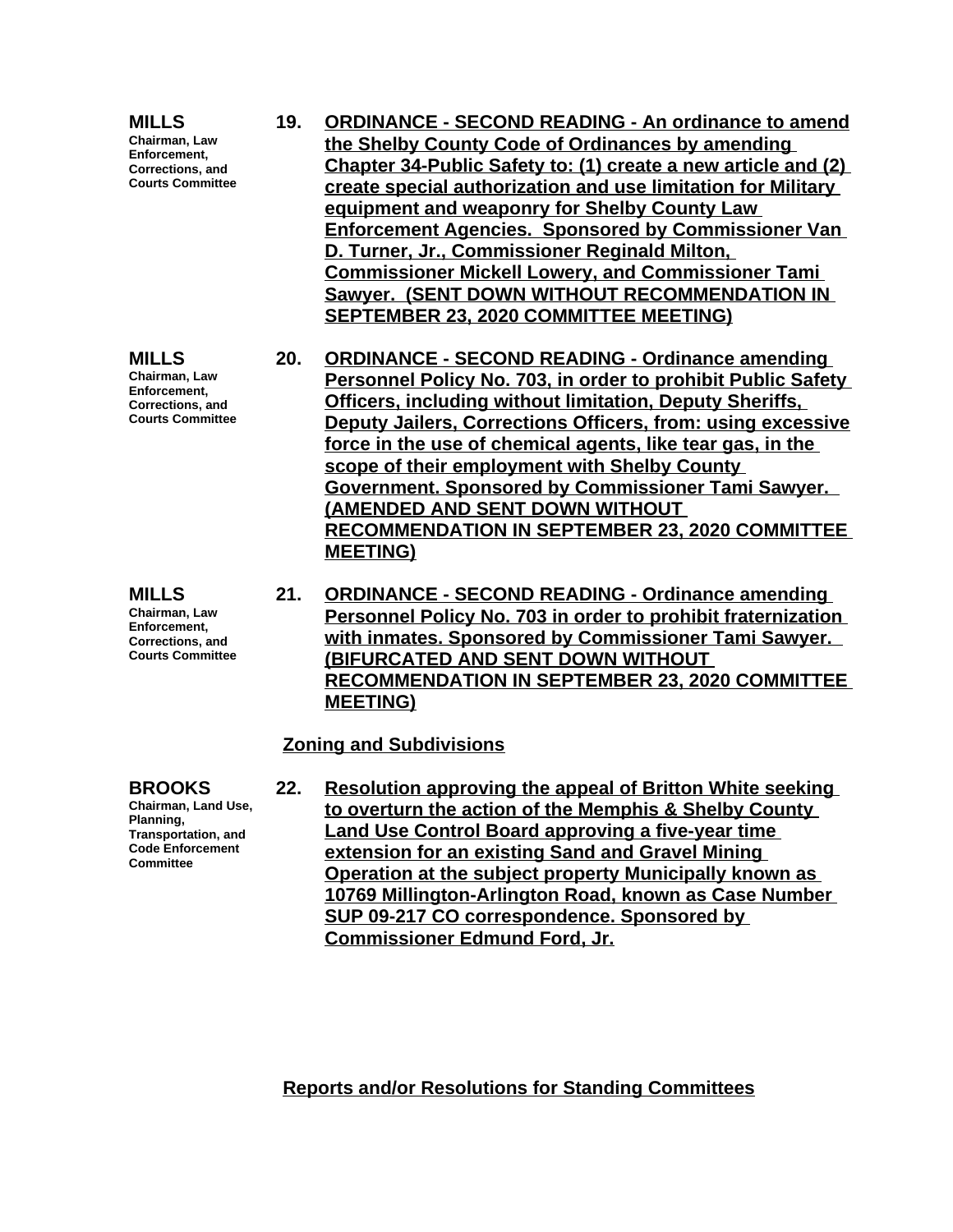**MILLS Chairman, Law Enforcement, Corrections, and Courts Committee**

**MILLS Chairman, Law Enforcement, Corrections, and Courts Committee**

**MILLS Chairman, Law Enforcement, Corrections, and Courts Committee**

- **19. ORDINANCE SECOND READING An ordinance to amend the Shelby County Code of Ordinances by amending Chapter 34-Public Safety to: (1) create a new article and (2) create special authorization and use limitation for Military equipment and weaponry for Shelby County Law Enforcement Agencies. Sponsored by Commissioner Van D. Turner, Jr., Commissioner Reginald Milton, Commissioner Mickell Lowery, and Commissioner Tami Sawyer. (SENT DOWN WITHOUT RECOMMENDATION IN SEPTEMBER 23, 2020 COMMITTEE MEETING)**
- **20. ORDINANCE SECOND READING Ordinance amending Personnel Policy No. 703, in order to prohibit Public Safety Officers, including without limitation, Deputy Sheriffs, Deputy Jailers, Corrections Officers, from: using excessive force in the use of chemical agents, like tear gas, in the scope of their employment with Shelby County Government. Sponsored by Commissioner Tami Sawyer. (AMENDED AND SENT DOWN WITHOUT RECOMMENDATION IN SEPTEMBER 23, 2020 COMMITTEE MEETING)**
- **21. ORDINANCE SECOND READING Ordinance amending Personnel Policy No. 703 in order to prohibit fraternization with inmates. Sponsored by Commissioner Tami Sawyer. (BIFURCATED AND SENT DOWN WITHOUT RECOMMENDATION IN SEPTEMBER 23, 2020 COMMITTEE MEETING)**

#### **Zoning and Subdivisions**

**BROOKS**

**Chairman, Land Use, Planning, Transportation, and Code Enforcement Committee**

**22. Resolution approving the appeal of Britton White seeking to overturn the action of the Memphis & Shelby County Land Use Control Board approving a five-year time extension for an existing Sand and Gravel Mining Operation at the subject property Municipally known as 10769 Millington-Arlington Road, known as Case Number SUP 09-217 CO correspondence. Sponsored by Commissioner Edmund Ford, Jr.**

**Reports and/or Resolutions for Standing Committees**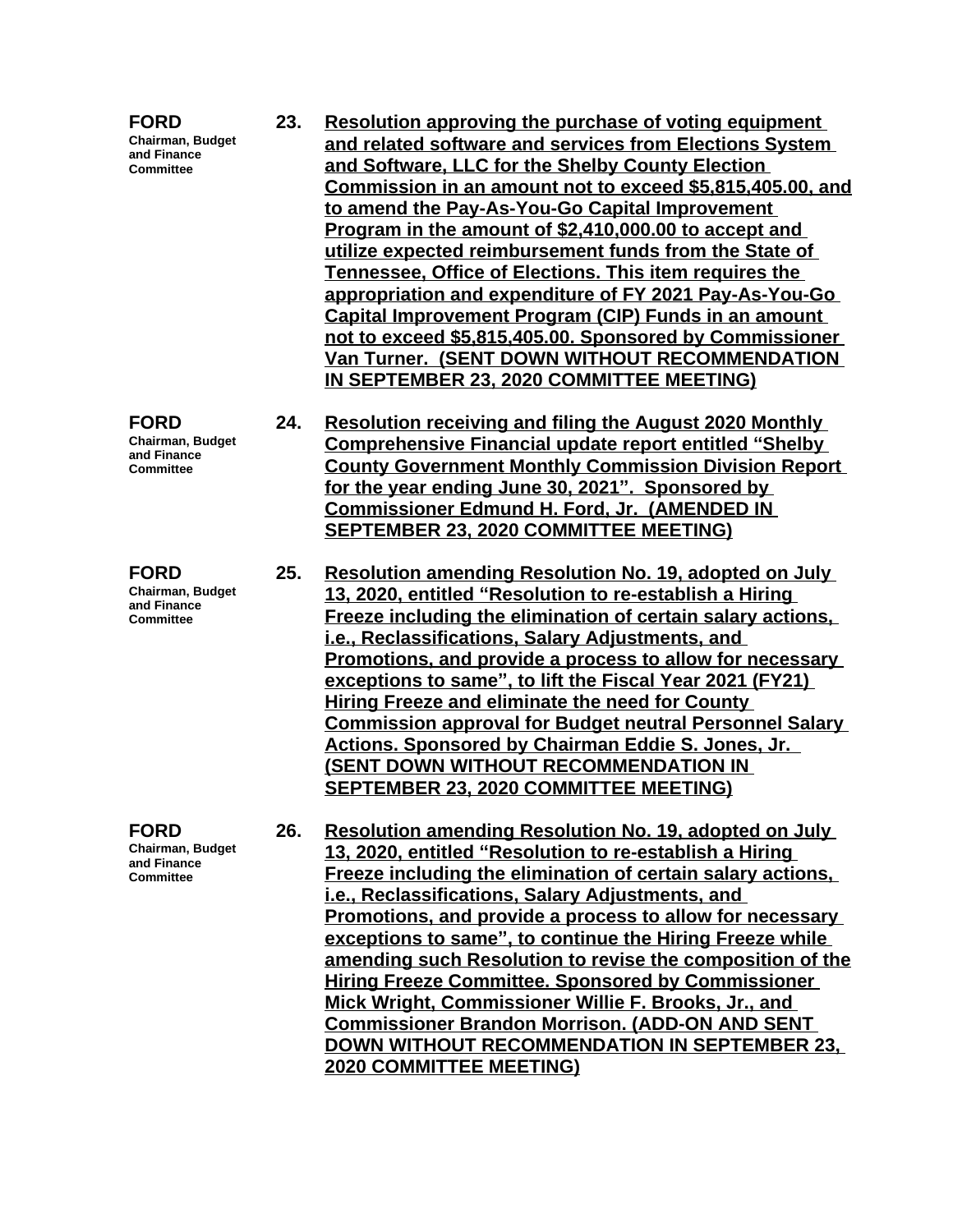| <b>FORD</b><br>Chairman, Budget<br>and Finance<br><b>Committee</b>        | 23. | Resolution approving the purchase of voting equipment<br>and related software and services from Elections System<br>and Software, LLC for the Shelby County Election<br>Commission in an amount not to exceed \$5,815,405.00, and<br>to amend the Pay-As-You-Go Capital Improvement<br>Program in the amount of \$2,410,000.00 to accept and<br>utilize expected reimbursement funds from the State of<br>Tennessee, Office of Elections. This item requires the<br>appropriation and expenditure of FY 2021 Pay-As-You-Go<br>Capital Improvement Program (CIP) Funds in an amount<br>not to exceed \$5,815,405.00. Sponsored by Commissioner<br>Van Turner. (SENT DOWN WITHOUT RECOMMENDATION<br>IN SEPTEMBER 23, 2020 COMMITTEE MEETING) |
|---------------------------------------------------------------------------|-----|--------------------------------------------------------------------------------------------------------------------------------------------------------------------------------------------------------------------------------------------------------------------------------------------------------------------------------------------------------------------------------------------------------------------------------------------------------------------------------------------------------------------------------------------------------------------------------------------------------------------------------------------------------------------------------------------------------------------------------------------|
| <b>FORD</b><br><b>Chairman, Budget</b><br>and Finance<br><b>Committee</b> | 24. | <b>Resolution receiving and filing the August 2020 Monthly</b><br><b>Comprehensive Financial update report entitled "Shelby</b><br><b>County Government Monthly Commission Division Report</b><br>for the year ending June 30, 2021". Sponsored by<br><b>Commissioner Edmund H. Ford, Jr. (AMENDED IN</b><br><b>SEPTEMBER 23, 2020 COMMITTEE MEETING)</b>                                                                                                                                                                                                                                                                                                                                                                                  |
| <b>FORD</b><br><b>Chairman, Budget</b><br>and Finance<br><b>Committee</b> | 25. | <b>Resolution amending Resolution No. 19, adopted on July</b><br>13, 2020, entitled "Resolution to re-establish a Hiring<br><b>Freeze including the elimination of certain salary actions,</b><br>i.e., Reclassifications, Salary Adjustments, and<br>Promotions, and provide a process to allow for necessary<br>exceptions to same", to lift the Fiscal Year 2021 (FY21)<br><b>Hiring Freeze and eliminate the need for County</b><br><b>Commission approval for Budget neutral Personnel Salary</b><br><b>Actions. Sponsored by Chairman Eddie S. Jones, Jr.</b><br>(SENT DOWN WITHOUT RECOMMENDATION IN<br><b>SEPTEMBER 23, 2020 COMMITTEE MEETING)</b>                                                                                |
| <b>FORD</b><br><b>Chairman, Budget</b><br>and Finance<br>Committee        | 26. | Resolution amending Resolution No. 19, adopted on July<br>13, 2020, entitled "Resolution to re-establish a Hiring<br>Freeze including the elimination of certain salary actions,<br>i.e., Reclassifications, Salary Adjustments, and<br>Promotions, and provide a process to allow for necessary<br>exceptions to same", to continue the Hiring Freeze while<br>amending such Resolution to revise the composition of the<br><b>Hiring Freeze Committee. Sponsored by Commissioner</b><br>Mick Wright, Commissioner Willie F. Brooks, Jr., and<br><b>Commissioner Brandon Morrison. (ADD-ON AND SENT</b><br>DOWN WITHOUT RECOMMENDATION IN SEPTEMBER 23,<br><b>2020 COMMITTEE MEETING)</b>                                                 |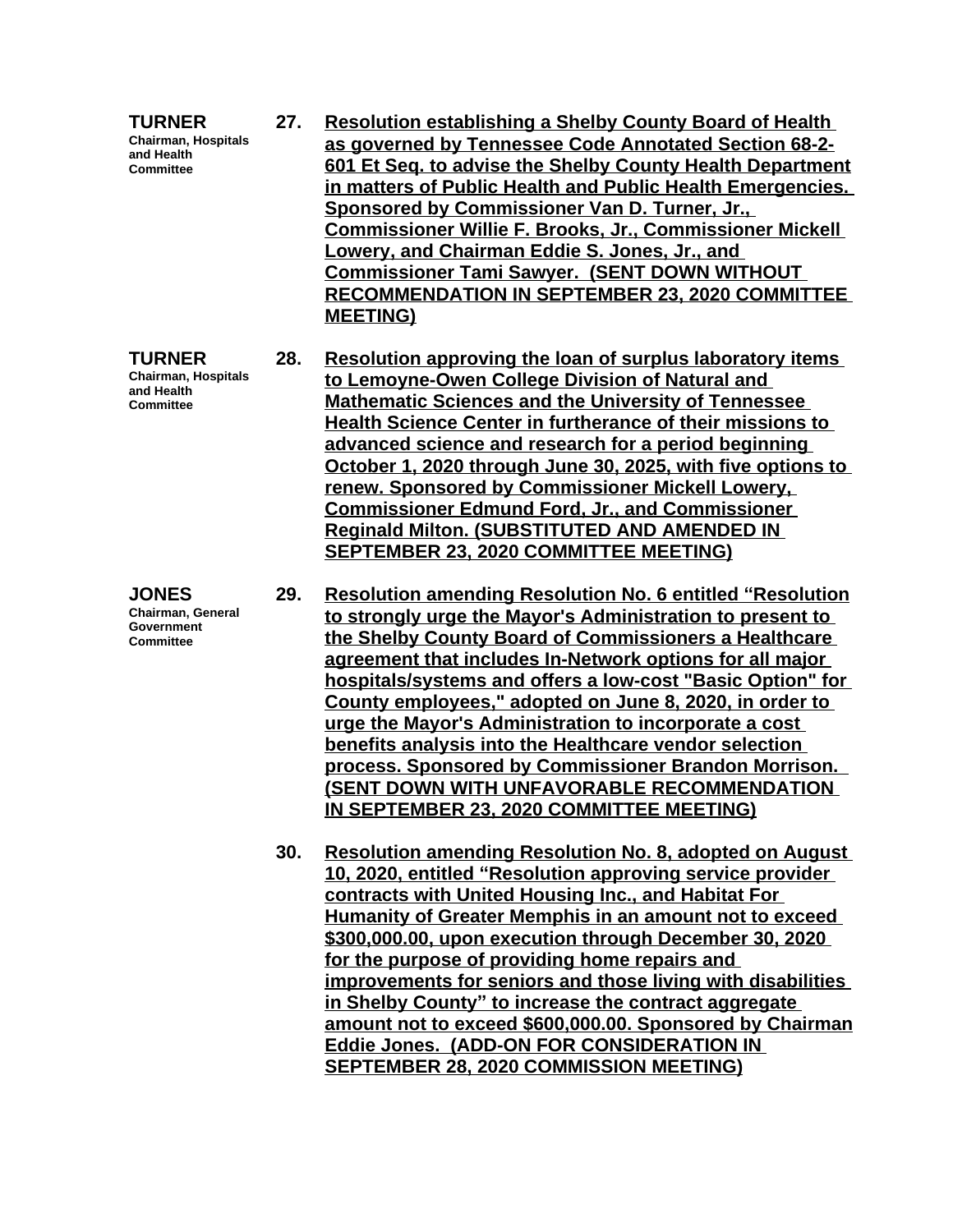| <b>TURNER</b><br><b>Chairman, Hospitals</b><br>and Health<br><b>Committee</b>     | 27. | <b>Resolution establishing a Shelby County Board of Health</b><br>as governed by Tennessee Code Annotated Section 68-2-<br>601 Et Seg. to advise the Shelby County Health Department<br>in matters of Public Health and Public Health Emergencies.<br>Sponsored by Commissioner Van D. Turner, Jr.,<br>Commissioner Willie F. Brooks, Jr., Commissioner Mickell<br>Lowery, and Chairman Eddie S. Jones, Jr., and<br><b>Commissioner Tami Sawyer. (SENT DOWN WITHOUT</b><br><b>RECOMMENDATION IN SEPTEMBER 23, 2020 COMMITTEE</b><br><b>MEETING)</b>                                                                                                     |
|-----------------------------------------------------------------------------------|-----|---------------------------------------------------------------------------------------------------------------------------------------------------------------------------------------------------------------------------------------------------------------------------------------------------------------------------------------------------------------------------------------------------------------------------------------------------------------------------------------------------------------------------------------------------------------------------------------------------------------------------------------------------------|
| <b>TURNER</b><br>Chairman, Hospitals<br>and Health<br><b>Committee</b>            | 28. | Resolution approving the loan of surplus laboratory items<br>to Lemoyne-Owen College Division of Natural and<br><b>Mathematic Sciences and the University of Tennessee</b><br>Health Science Center in furtherance of their missions to<br>advanced science and research for a period beginning<br>October 1, 2020 through June 30, 2025, with five options to<br>renew. Sponsored by Commissioner Mickell Lowery,<br><b>Commissioner Edmund Ford, Jr., and Commissioner</b><br><b>Reginald Milton. (SUBSTITUTED AND AMENDED IN</b><br><b>SEPTEMBER 23, 2020 COMMITTEE MEETING)</b>                                                                     |
| <b>JONES</b><br><b>Chairman, General</b><br><b>Government</b><br><b>Committee</b> | 29. | <b>Resolution amending Resolution No. 6 entitled "Resolution</b><br>to strongly urge the Mayor's Administration to present to<br>the Shelby County Board of Commissioners a Healthcare<br>agreement that includes In-Network options for all major<br>hospitals/systems and offers a low-cost "Basic Option" for<br>County employees," adopted on June 8, 2020, in order to<br>urge the Mayor's Administration to incorporate a cost<br>benefits analysis into the Healthcare vendor selection<br>process. Sponsored by Commissioner Brandon Morrison.<br><u>(SENT DOWN WITH UNFAVORABLE RECOMMENDATION</u><br>IN SEPTEMBER 23, 2020 COMMITTEE MEETING) |
|                                                                                   | 30. | <b>Resolution amending Resolution No. 8, adopted on August</b><br>10, 2020, entitled "Resolution approving service provider<br>contracts with United Housing Inc., and Habitat For<br><b>Humanity of Greater Memphis in an amount not to exceed</b><br>\$300,000.00, upon execution through December 30, 2020<br>for the nurnese of providing home repairs and                                                                                                                                                                                                                                                                                          |

**for the purpose of providing home repairs and improvements for seniors and those living with disabilities in Shelby County" to increase the contract aggregate amount not to exceed \$600,000.00. Sponsored by Chairman Eddie Jones. (ADD-ON FOR CONSIDERATION IN SEPTEMBER 28, 2020 COMMISSION MEETING)**